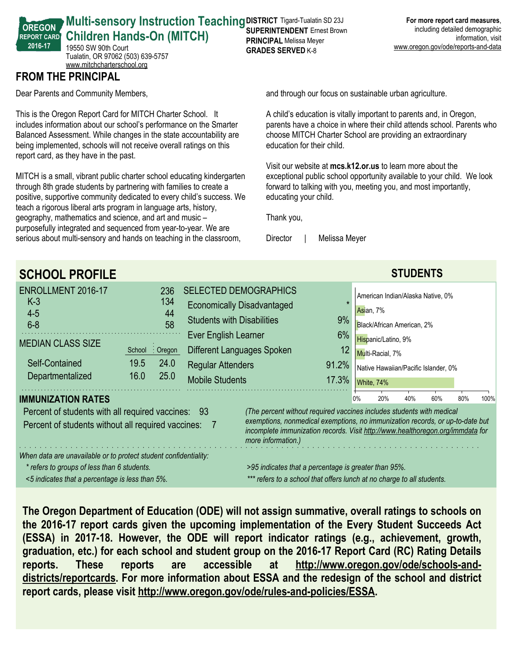#### **Multi-sensory Instruction Teaching DISTRICT Tigard-Tualatin SD 23J Children Hands-On (MITCH) SUPERINTENDENT** Ernest Brown **PRINCIPAL** Melissa Meyer

19550 SW 90th Court Tualatin, OR 97062 (503) 639-5757 <www.mitchcharterschool.org>

## **FROM THE PRINCIPAL**

**OREGON REPORT CARD 2016-17**

Dear Parents and Community Members,

This is the Oregon Report Card for MITCH Charter School. It includes information about our school's performance on the Smarter Balanced Assessment. While changes in the state accountability are being implemented, schools will not receive overall ratings on this report card, as they have in the past.

MITCH is a small, vibrant public charter school educating kindergarten through 8th grade students by partnering with families to create a positive, supportive community dedicated to every child's success. We teach a rigorous liberal arts program in language arts, history, geography, mathematics and science, and art and music – purposefully integrated and sequenced from year-to-year. We are serious about multi-sensory and hands on teaching in the classroom,

and through our focus on sustainable urban agriculture.

A child's education is vitally important to parents and, in Oregon, parents have a choice in where their child attends school. Parents who choose MITCH Charter School are providing an extraordinary education for their child.

Visit our website at **mcs.k12.or.us** to learn more about the exceptional public school opportunity available to your child. We look forward to talking with you, meeting you, and most importantly, educating your child.

Thank you,

**GRADES SERVED** K-8

Director | Melissa Meyer

| <b>SCHOOL PROFILE</b>                                                                                                                                              |                                                                                                                                                                                                                                                                |                                                                                                                                                                                                                                                        |           |     |                                                                                                                                                                               | <b>STUDENTS</b> |      |  |  |
|--------------------------------------------------------------------------------------------------------------------------------------------------------------------|----------------------------------------------------------------------------------------------------------------------------------------------------------------------------------------------------------------------------------------------------------------|--------------------------------------------------------------------------------------------------------------------------------------------------------------------------------------------------------------------------------------------------------|-----------|-----|-------------------------------------------------------------------------------------------------------------------------------------------------------------------------------|-----------------|------|--|--|
| <b>ENROLLMENT 2016-17</b><br>$K-3$<br>$4 - 5$<br>$6 - 8$<br><b>MEDIAN CLASS SIZE</b><br>Self-Contained<br>Departmentalized                                         | 236<br>134<br>44<br>58<br>$:$ Oregon<br>School<br>19.5<br>24.0<br>25.0<br>16.0                                                                                                                                                                                 | <b>SELECTED DEMOGRAPHICS</b><br><b>Economically Disadvantaged</b><br>9%<br><b>Students with Disabilities</b><br>6%<br>Ever English Learner<br>12<br>Different Languages Spoken<br><b>Regular Attenders</b><br>91.2%<br><b>Mobile Students</b><br>17.3% |           |     | American Indian/Alaska Native, 0%<br>Asian, 7%<br>Black/African American, 2%<br>Hispanic/Latino, 9%<br>Multi-Racial, 7%<br>Native Hawaiian/Pacific Islander, 0%<br>White, 74% |                 |      |  |  |
| <b>IMMUNIZATION RATES</b><br>Percent of students with all required vaccines: 93<br>Percent of students without all required vaccines:                              | (The percent without required vaccines includes students with medical<br>exemptions, nonmedical exemptions, no immunization records, or up-to-date but<br>incomplete immunization records. Visit http://www.healthoregon.org/immdata for<br>more information.) |                                                                                                                                                                                                                                                        | 0%<br>20% | 40% | 60%                                                                                                                                                                           | 80%             | 100% |  |  |
| When data are unavailable or to protect student confidentiality:<br>* refers to groups of less than 6 students.<br><5 indicates that a percentage is less than 5%. | >95 indicates that a percentage is greater than 95%.<br>*** refers to a school that offers lunch at no charge to all students.                                                                                                                                 |                                                                                                                                                                                                                                                        |           |     |                                                                                                                                                                               |                 |      |  |  |

**The Oregon Department of Education (ODE) will not assign summative, overall ratings to schools on the 2016-17 report cards given the upcoming implementation of the Every Student Succeeds Act (ESSA) in 2017-18. However, the ODE will report indicator ratings (e.g., achievement, growth, graduation, etc.) for each school and student group on the 2016-17 Report Card (RC) Rating Details reports. These reports are accessible at http://www.oregon.gov/ode/schools-anddistricts/reportcards. For more information about ESSA and the redesign of the school and district report cards, please visit http://www.oregon.gov/ode/rules-and-policies/ESSA.**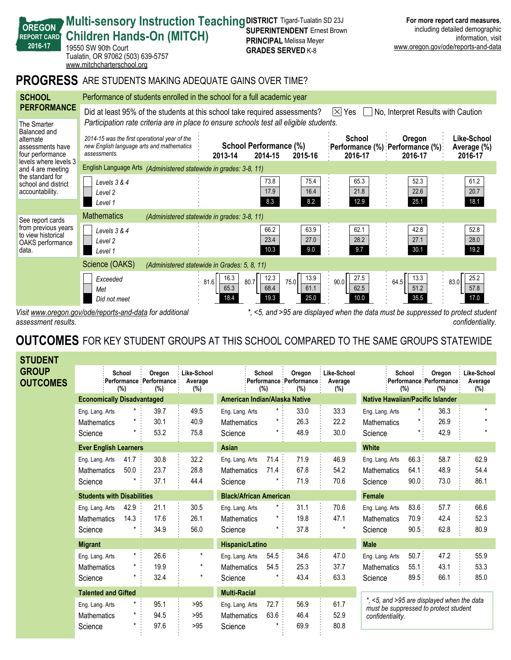| <b>Children Hands-On (MITCH)</b><br><b>REPORT CARD</b><br>2016-17<br>19550 SW 90th Court<br>Tualatin, OR 97062 (503) 639-5757<br>www.mitchcharterschool.org |                                                                                                                                                                                                                              |                              | <b>SUPERIN LENDEN LETTESL DIUWII</b><br><b>PRINCIPAL Melissa Meyer</b><br><b>GRADES SERVED K-8</b> |                              |                                                         |                              | muuumiy uuumuu uumuyrupmu<br>information, visit<br>www.oregon.gov/ode/reports-and-data |
|-------------------------------------------------------------------------------------------------------------------------------------------------------------|------------------------------------------------------------------------------------------------------------------------------------------------------------------------------------------------------------------------------|------------------------------|----------------------------------------------------------------------------------------------------|------------------------------|---------------------------------------------------------|------------------------------|----------------------------------------------------------------------------------------|
|                                                                                                                                                             | <b>PROGRESS</b> ARE STUDENTS MAKING ADEQUATE GAINS OVER TIME?                                                                                                                                                                |                              |                                                                                                    |                              |                                                         |                              |                                                                                        |
| <b>SCHOOL</b>                                                                                                                                               | Performance of students enrolled in the school for a full academic year                                                                                                                                                      |                              |                                                                                                    |                              |                                                         |                              |                                                                                        |
| <b>PERFORMANCE</b><br>The Smarter                                                                                                                           | Did at least 95% of the students at this school take required assessments?<br>No, Interpret Results with Caution<br>$ \times $ Yes<br>Participation rate criteria are in place to ensure schools test all eligible students. |                              |                                                                                                    |                              |                                                         |                              |                                                                                        |
| Balanced and<br>alternate<br>assessments have<br>four performance                                                                                           | 2014-15 was the first operational year of the<br>new English language arts and mathematics<br>assessments.                                                                                                                   | 2013-14                      | <b>School Performance (%)</b><br>2014-15                                                           | 2015-16                      | School<br>:Performance (%) :Performance (%):<br>2016-17 | Oregon<br>2016-17            | Like-School<br>Average (%)<br>2016-17                                                  |
| levels where levels 3<br>English Language Arts (Administered statewide in grades: 3-8, 11)<br>and 4 are meeting                                             |                                                                                                                                                                                                                              |                              |                                                                                                    |                              |                                                         |                              |                                                                                        |
| the standard for<br>school and district<br>accountability.                                                                                                  | Levels $3 & 4$<br>Level 2<br>Level 1                                                                                                                                                                                         |                              | 73.8<br>17.9<br>8.3                                                                                | 75.4<br>16.4<br>8.2          | 65.3<br>21.8<br>12.9                                    | 52.3<br>22.6<br>25.1         | 61.2<br>20.7<br>18.1                                                                   |
| See report cards                                                                                                                                            | <b>Mathematics</b><br>(Administered statewide in grades: 3-8, 11)                                                                                                                                                            |                              |                                                                                                    |                              |                                                         |                              |                                                                                        |
| from previous years<br>to view historical<br>OAKS performance<br>data.                                                                                      | Levels 3 & 4<br>Level 2<br>Level 1                                                                                                                                                                                           |                              | 66.2<br>23.4<br>10.3                                                                               | 63.9<br>27.0<br>9.0          | 62.1<br>28.2<br>9.7                                     | 42.8<br>27.1<br>30.1         | 52.8<br>28.0<br>19.2                                                                   |
| Science (OAKS)<br>(Administered statewide in Grades: 5, 8, 11)                                                                                              |                                                                                                                                                                                                                              |                              |                                                                                                    |                              |                                                         |                              |                                                                                        |
|                                                                                                                                                             | Exceeded<br>Met<br>Did not meet                                                                                                                                                                                              | 16.3<br>81.6<br>65.3<br>18.4 | 12.3<br>80.7<br>68.4<br>19.3                                                                       | 13.9<br>75.0<br>61.1<br>25.0 | 27.5<br>90.0<br>62.5<br>10.0                            | 13.3<br>64.5<br>51.2<br>35.5 | 25.2<br>83.0<br>57.8<br>17.0                                                           |
| <5, and >95 are displayed when the data must be suppressed to protect student<br>Visit www.oregon.gov/ode/reports-and-data for additional                   |                                                                                                                                                                                                                              |                              |                                                                                                    |                              |                                                         |                              |                                                                                        |

**DISTRICT** Tigard-Tualatin SD 23J **SUPERINTENDENT** Ernest Brown **For more report card measures**, including detailed demographic

*confidentiality.*

*assessment results.*

**OREGON REPORT CARD** **Multi-sensory Instruction Teaching** 

# **OUTCOMES** FOR KEY STUDENT GROUPS AT THIS SCHOOL COMPARED TO THE SAME GROUPS STATEWIDE

| <b>STUDENT</b>                  |                                   |                                   |         |                                           |                               |                               |               |            |                                          |                               |                                                                                     |               |                                          |                               |
|---------------------------------|-----------------------------------|-----------------------------------|---------|-------------------------------------------|-------------------------------|-------------------------------|---------------|------------|------------------------------------------|-------------------------------|-------------------------------------------------------------------------------------|---------------|------------------------------------------|-------------------------------|
| <b>GROUP</b><br><b>OUTCOMES</b> |                                   | School<br>(%)                     |         | Oregon<br>Performance Performance:<br>(%) | Like-School<br>Average<br>(%) |                               | School<br>(%) |            | Oregon<br>Performance Performance<br>(%) | Like-School<br>Average<br>(%) |                                                                                     | School<br>(%) | Oregon<br>Performance Performance<br>(%) | Like-School<br>Average<br>(%) |
|                                 |                                   | <b>Economically Disadvantaged</b> |         |                                           |                               | American Indian/Alaska Native |               |            |                                          |                               | <b>Native Hawaiian/Pacific Islander</b>                                             |               |                                          |                               |
|                                 | Eng. Lang. Arts                   |                                   | $\star$ | 39.7                                      | 49.5                          | Eng. Lang. Arts               |               | $\star$    | 33.0                                     | 33.3                          | Eng. Lang. Arts                                                                     | $\star$ .     | 36.3                                     | $\star$                       |
|                                 | <b>Mathematics</b>                |                                   |         | 30.1                                      | 40.9                          | Mathematics                   |               | *          | 26.3                                     | 22.2                          | Mathematics                                                                         |               | 26.9                                     | $\star$                       |
|                                 | Science                           |                                   | $\star$ | 53.2                                      | 75.8                          | Science                       |               | *          | 48.9                                     | 30.0                          | Science                                                                             |               | 42.9                                     | $\star$                       |
|                                 |                                   | <b>Ever English Learners</b>      |         |                                           |                               | Asian                         |               |            |                                          |                               | <b>White</b>                                                                        |               |                                          |                               |
|                                 | Eng. Lang. Arts                   | 41.7                              |         | 30.8                                      | 32.2                          | Eng. Lang. Arts               |               | 71.4:      | 71.9                                     | 46.9                          | Eng. Lang. Arts                                                                     | 66.3:         | 58.7                                     | 62.9                          |
|                                 | <b>Mathematics</b>                | 50.0                              |         | 23.7                                      | 28.8                          | <b>Mathematics</b>            |               | 71.4       | 67.8                                     | 54.2                          | <b>Mathematics</b>                                                                  | 64.1          | 48.9                                     | 54.4                          |
|                                 | Science                           |                                   |         | 37.1                                      | 44.4                          | Science                       |               |            | 71.9                                     | 70.6                          | Science                                                                             | 90.0          | 73.0                                     | 86.1                          |
|                                 | <b>Students with Disabilities</b> |                                   |         |                                           |                               | <b>Black/African American</b> |               |            |                                          |                               | <b>Female</b>                                                                       |               |                                          |                               |
|                                 | Eng. Lang. Arts                   | 42.9                              |         | 21.1                                      | 30.5                          | Eng. Lang. Arts               |               | $^{\star}$ | 31.1                                     | 70.6                          | Eng. Lang. Arts                                                                     | 83.6:         | 57.7                                     | 66.6                          |
|                                 | <b>Mathematics</b>                | 14.3                              |         | 17.6                                      | 26.1                          | Mathematics                   |               | *          | 19.8                                     | 47.1                          | <b>Mathematics</b>                                                                  | 70.9:         | 42.4                                     | 52.3                          |
|                                 | Science                           |                                   |         | 34.9                                      | 56.0                          | Science                       |               | *          | 37.8                                     | $^\star$                      | Science                                                                             | 90.5          | 62.8                                     | 80.9                          |
|                                 | <b>Migrant</b>                    |                                   |         |                                           |                               | Hispanic/Latino               |               |            |                                          |                               | <b>Male</b>                                                                         |               |                                          |                               |
|                                 | Eng. Lang. Arts                   |                                   | $\star$ | 26.6                                      | $\star$                       | Eng. Lang. Arts               |               | 54.5       | 34.6                                     | 47.0                          | Eng. Lang. Arts                                                                     | $50.7$ :      | 47.2                                     | 55.9                          |
|                                 | <b>Mathematics</b>                |                                   | $\star$ | 19.9                                      | $^\star$                      | Mathematics                   |               | 54.5       | 25.3                                     | 37.7                          | <b>Mathematics</b>                                                                  | 55.1:         | 43.1                                     | 53.3                          |
|                                 | Science                           |                                   |         | 32.4                                      | $\star$                       | Science                       |               |            | 43.4                                     | 63.3                          | Science                                                                             | 89.5          | 66.1                                     | 85.0                          |
|                                 |                                   | <b>Talented and Gifted</b>        |         |                                           |                               | <b>Multi-Racial</b>           |               |            |                                          |                               |                                                                                     |               |                                          |                               |
|                                 | Eng. Lang. Arts                   |                                   | $\star$ | 95.1                                      | >95                           | Eng. Lang. Arts               |               | 72.7:      | 56.9                                     | 61.7                          | *, <5, and >95 are displayed when the data<br>must be suppressed to protect student |               |                                          |                               |
|                                 | <b>Mathematics</b>                |                                   | $\star$ | 94.5                                      | >95                           | <b>Mathematics</b>            |               | 63.6       | 46.4                                     | 52.9                          | confidentiality.                                                                    |               |                                          |                               |
|                                 | Science                           |                                   | $\star$ | 97.6                                      | >95                           | Science                       |               |            | 69.9                                     | 80.8                          |                                                                                     |               |                                          |                               |
|                                 |                                   |                                   |         |                                           |                               |                               |               |            |                                          |                               |                                                                                     |               |                                          |                               |